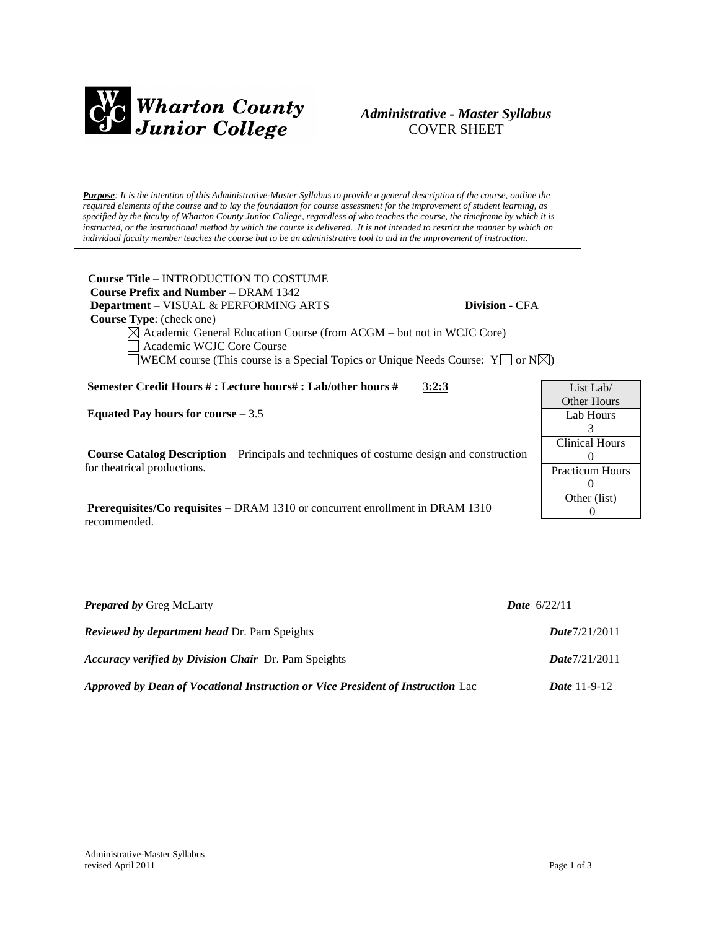

# *Administrative - Master Syllabus*  COVER SHEET

*Purpose: It is the intention of this Administrative-Master Syllabus to provide a general description of the course, outline the required elements of the course and to lay the foundation for course assessment for the improvement of student learning, as specified by the faculty of Wharton County Junior College, regardless of who teaches the course, the timeframe by which it is instructed, or the instructional method by which the course is delivered. It is not intended to restrict the manner by which an individual faculty member teaches the course but to be an administrative tool to aid in the improvement of instruction.*

**Course Title** – INTRODUCTION TO COSTUME  **Course Prefix and Number** – DRAM 1342  **Department** – VISUAL & PERFORMING ARTS **Division** - CFA  **Course Type**: (check one)

 $\boxtimes$  Academic General Education Course (from ACGM – but not in WCJC Core) Academic WCJC Core Course **WECM** course (This course is a Special Topics or Unique Needs Course:  $Y \cap N \times N$ )

**Semester Credit Hours # : Lecture hours# : Lab/other hours #** 3**:2:3**

**Equated Pay hours for course** – 3.5

**Course Catalog Description** – Principals and techniques of costume design and construction for theatrical productions.

**Prerequisites/Co requisites** – DRAM 1310 or concurrent enrollment in DRAM 1310 recommended.

| List Lab $/$           |  |
|------------------------|--|
| Other Hours            |  |
| Lab Hours              |  |
| 3                      |  |
| <b>Clinical Hours</b>  |  |
| $\mathbf{0}$           |  |
| <b>Practicum Hours</b> |  |
| $\theta$               |  |
| Other (list)           |  |
|                        |  |

| <b>Prepared by Greg McLarty</b>                                                 | <b>Date</b> $6/22/11$ |
|---------------------------------------------------------------------------------|-----------------------|
| <b>Reviewed by department head Dr. Pam Speights</b>                             | Date7/21/2011         |
| <b>Accuracy verified by Division Chair</b> Dr. Pam Speights                     | Date7/21/2011         |
| Approved by Dean of Vocational Instruction or Vice President of Instruction Lac | <i>Date</i> $11-9-12$ |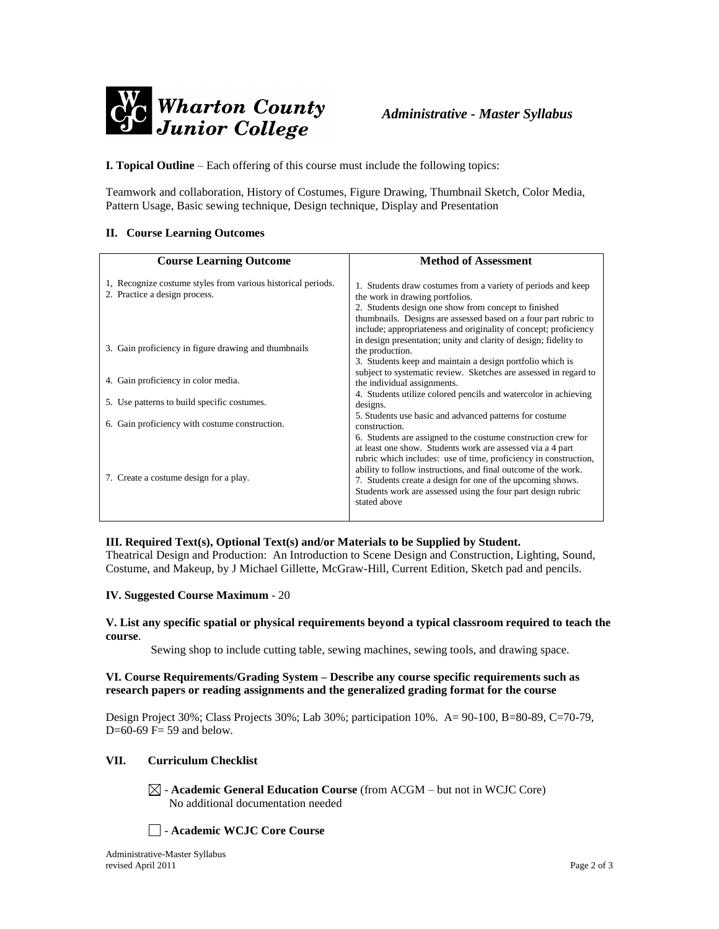

**I. Topical Outline** – Each offering of this course must include the following topics:

Teamwork and collaboration, History of Costumes, Figure Drawing, Thumbnail Sketch, Color Media, Pattern Usage, Basic sewing technique, Design technique, Display and Presentation

#### **II. Course Learning Outcomes**

| <b>Course Learning Outcome</b>                                                                | <b>Method of Assessment</b>                                                                                                                                                                                                                                                                                                                                                                                     |
|-----------------------------------------------------------------------------------------------|-----------------------------------------------------------------------------------------------------------------------------------------------------------------------------------------------------------------------------------------------------------------------------------------------------------------------------------------------------------------------------------------------------------------|
| 1. Recognize costume styles from various historical periods.<br>2. Practice a design process. | 1. Students draw costumes from a variety of periods and keep<br>the work in drawing portfolios.<br>2. Students design one show from concept to finished<br>thumbnails. Designs are assessed based on a four part rubric to                                                                                                                                                                                      |
| 3. Gain proficiency in figure drawing and thumbnails                                          | include; appropriateness and originality of concept; proficiency<br>in design presentation; unity and clarity of design; fidelity to<br>the production.<br>3. Students keep and maintain a design portfolio which is                                                                                                                                                                                            |
| 4. Gain proficiency in color media.                                                           | subject to systematic review. Sketches are assessed in regard to<br>the individual assignments.                                                                                                                                                                                                                                                                                                                 |
| 5. Use patterns to build specific costumes.                                                   | 4. Students utilize colored pencils and watercolor in achieving<br>designs.                                                                                                                                                                                                                                                                                                                                     |
| 6. Gain proficiency with costume construction.                                                | 5. Students use basic and advanced patterns for costume<br>construction.                                                                                                                                                                                                                                                                                                                                        |
| 7. Create a costume design for a play.                                                        | 6. Students are assigned to the costume construction crew for<br>at least one show. Students work are assessed via a 4 part<br>rubric which includes: use of time, proficiency in construction,<br>ability to follow instructions, and final outcome of the work.<br>7. Students create a design for one of the upcoming shows.<br>Students work are assessed using the four part design rubric<br>stated above |

## **III. Required Text(s), Optional Text(s) and/or Materials to be Supplied by Student.**

Theatrical Design and Production: An Introduction to Scene Design and Construction, Lighting, Sound, Costume, and Makeup, by J Michael Gillette, McGraw-Hill, Current Edition, Sketch pad and pencils.

#### **IV. Suggested Course Maximum** - 20

#### **V. List any specific spatial or physical requirements beyond a typical classroom required to teach the course**.

Sewing shop to include cutting table, sewing machines, sewing tools, and drawing space.

#### **VI. Course Requirements/Grading System – Describe any course specific requirements such as research papers or reading assignments and the generalized grading format for the course**

Design Project 30%; Class Projects 30%; Lab 30%; participation 10%. A= 90-100, B=80-89, C=70-79, D= $60-69$  F= 59 and below.

## **VII. Curriculum Checklist**

 $\boxtimes$  - **Academic General Education Course** (from ACGM – but not in WCJC Core) No additional documentation needed

- **Academic WCJC Core Course**